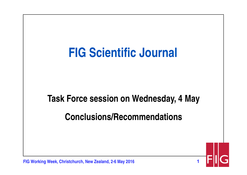

**FIG Working Week, Christchurch, New Zealand, 2-6 May 2016**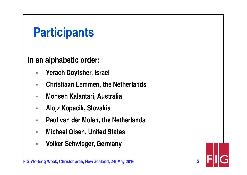### **Participants**

**In an alphabetic order:**

- $\overline{\phantom{a}}$ **Yerach Doytsher, Israel**
- $\mathcal{L}_{\mathcal{A}}$ **Christiaan Lemmen, the Netherlands**
- $\mathcal{L}_{\mathcal{A}}$ **Mohsen Kalantari, Australia**
- $\mathcal{L}_{\mathcal{A}}$ **Alojz Kopacik, Slovakia**
- $\mathbf{r}$ **Paul van der Molen, the Netherlands**

- $\overline{\phantom{a}}$ **Michael Olsen, United States**
- $\overline{\phantom{a}}$ **Volker Schwieger, Germany**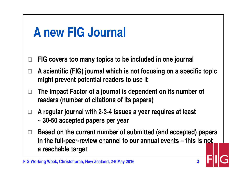#### **A new FIG Journal**

- $\Box$ **FIG covers too many topics to be included in one journal**
- $\Box$  **A scientific (FIG) journal which is not focusing on a specific topic might prevent potential readers to use it**
- $\Box$  **The Impact Factor of a journal is dependent on its number of readers (number of citations of its papers)**
- $\Box$  **A regular journal with 2-3-4 issues a year requires at least ~ 30-50 accepted papers per year**
- □ Based on the current number of submitted (and accepted) papers **and in the full** name was in the set **in the full-peer-review channel to our annual events – this is not a reachable target**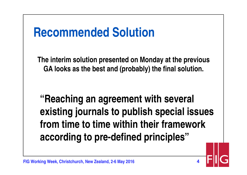### **Recommended Solution**

**The interim solution presented on Monday at the previous GA looks as the best and (probably) the final solution.** 

**"Reaching an agreement with several existing journals to publish special issues from time to time within their framework according to pre-defined principles"**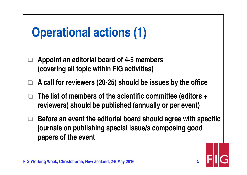# **Operational actions (1)**

- $\Box$  **Appoint an editorial board of 4-5 members (covering all topic within FIG activities)**
- $\Box$ **A call for reviewers (20-25) should be issues by the office**
- $\Box$  **The list of members of the scientific committee (editors + reviewers) should be published (annually or per event)**
- $\Box$  **Before an event the editorial board should agree with specific journals on publishing special issue/s composing good papers of the event**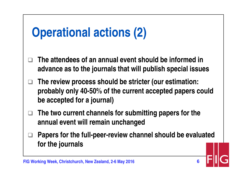### **Operational actions (2)**

- $\Box$  **The attendees of an annual event should be informed in advance as to the journals that will publish special issues**
- $\sqcup$  **The review process should be stricter (our estimation: probably only 40-50% of the current accepted papers could be accepted for a journal)**
- $\Box$  **The two current channels for submitting papers for the annual event will remain unchanged**
- $\Box$  **Papers for the full-peer-review channel should be evaluated for the journals**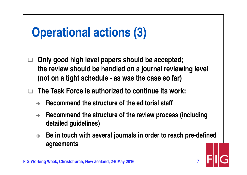# **Operational actions (3)**

- $\Box$  **Only good high level papers should be accepted; the review should be handled on a journal reviewing level (not on a tight schedule - as was the case so far)**
- $\Box$  **The Task Force is authorized to continue its work:**
	- $\rightarrow$ **Recommend the structure of the editorial staff**
	- $\rightarrow$  **Recommend the structure of the review process (including detailed guidelines)**
	- $\rightarrow$  **Be in touch with several journals in order to reach pre-defined agreements**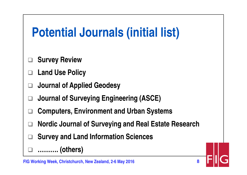## **Potential Journals (initial list)**

- $\Box$ **Survey Review**
- $\Box$ **Land Use Policy**
- $\Box$ **Journal of Applied Geodesy**
- $\Box$ **Journal of Surveying Engineering (ASCE)**
- $\Box$ **Computers, Environment and Urban Systems**
- $\Box$ □ Nordic Journal of Surveying and Real Estate Research

**8**

 $\Box$ **Survey and Land Information Sciences**

 $\Box$ **………. (others)**